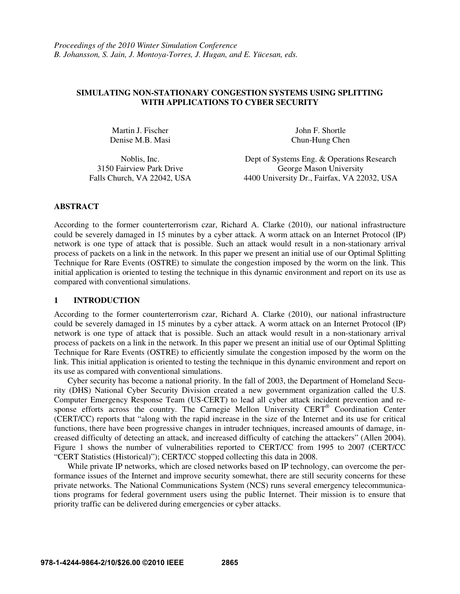# **SIMULATING NON-STATIONARY CONGESTION SYSTEMS USING SPLITTING WITH APPLICATIONS TO CYBER SECURITY**

Martin J. Fischer John F. Shortle Denise M.B. Masi Chun-Hung Chen

Noblis, Inc. Dept of Systems Eng. & Operations Research 3150 Fairview Park Drive George Mason University Falls Church, VA 22042, USA 4400 University Dr., Fairfax, VA 22032, USA

# **ABSTRACT**

According to the former counterterrorism czar, Richard A. Clarke (2010), our national infrastructure could be severely damaged in 15 minutes by a cyber attack. A worm attack on an Internet Protocol (IP) network is one type of attack that is possible. Such an attack would result in a non-stationary arrival process of packets on a link in the network. In this paper we present an initial use of our Optimal Splitting Technique for Rare Events (OSTRE) to simulate the congestion imposed by the worm on the link. This initial application is oriented to testing the technique in this dynamic environment and report on its use as compared with conventional simulations.

## **1 INTRODUCTION**

According to the former counterterrorism czar, Richard A. Clarke (2010), our national infrastructure could be severely damaged in 15 minutes by a cyber attack. A worm attack on an Internet Protocol (IP) network is one type of attack that is possible. Such an attack would result in a non-stationary arrival process of packets on a link in the network. In this paper we present an initial use of our Optimal Splitting Technique for Rare Events (OSTRE) to efficiently simulate the congestion imposed by the worm on the link. This initial application is oriented to testing the technique in this dynamic environment and report on its use as compared with conventional simulations.

Cyber security has become a national priority. In the fall of 2003, the Department of Homeland Security (DHS) National Cyber Security Division created a new government organization called the U.S. Computer Emergency Response Team (US-CERT) to lead all cyber attack incident prevention and response efforts across the country. The Carnegie Mellon University CERT® Coordination Center (CERT/CC) reports that "along with the rapid increase in the size of the Internet and its use for critical functions, there have been progressive changes in intruder techniques, increased amounts of damage, increased difficulty of detecting an attack, and increased difficulty of catching the attackers" (Allen 2004). Figure 1 shows the number of vulnerabilities reported to CERT/CC from 1995 to 2007 (CERT/CC "CERT Statistics (Historical)"); CERT/CC stopped collecting this data in 2008.

While private IP networks, which are closed networks based on IP technology, can overcome the performance issues of the Internet and improve security somewhat, there are still security concerns for these private networks. The National Communications System (NCS) runs several emergency telecommunications programs for federal government users using the public Internet. Their mission is to ensure that priority traffic can be delivered during emergencies or cyber attacks.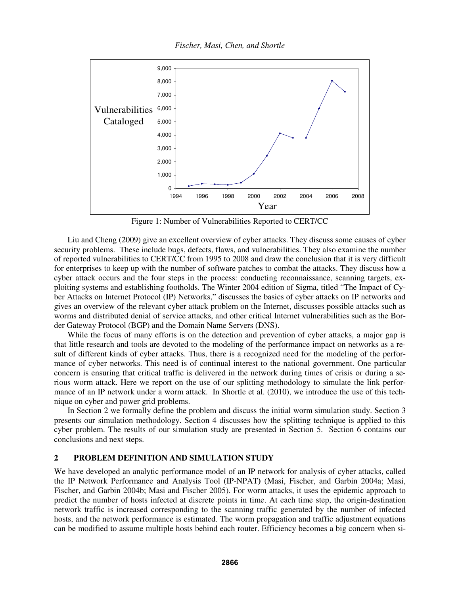*Fischer, Masi, Chen, and Shortle* 



Figure 1: Number of Vulnerabilities Reported to CERT/CC

Liu and Cheng (2009) give an excellent overview of cyber attacks. They discuss some causes of cyber security problems. These include bugs, defects, flaws, and vulnerabilities. They also examine the number of reported vulnerabilities to CERT/CC from 1995 to 2008 and draw the conclusion that it is very difficult for enterprises to keep up with the number of software patches to combat the attacks. They discuss how a cyber attack occurs and the four steps in the process: conducting reconnaissance, scanning targets, exploiting systems and establishing footholds. The Winter 2004 edition of Sigma, titled "The Impact of Cyber Attacks on Internet Protocol (IP) Networks," discusses the basics of cyber attacks on IP networks and gives an overview of the relevant cyber attack problem on the Internet, discusses possible attacks such as worms and distributed denial of service attacks, and other critical Internet vulnerabilities such as the Border Gateway Protocol (BGP) and the Domain Name Servers (DNS).

While the focus of many efforts is on the detection and prevention of cyber attacks, a major gap is that little research and tools are devoted to the modeling of the performance impact on networks as a result of different kinds of cyber attacks. Thus, there is a recognized need for the modeling of the performance of cyber networks. This need is of continual interest to the national government. One particular concern is ensuring that critical traffic is delivered in the network during times of crisis or during a serious worm attack. Here we report on the use of our splitting methodology to simulate the link performance of an IP network under a worm attack. In Shortle et al. (2010), we introduce the use of this technique on cyber and power grid problems.

In Section 2 we formally define the problem and discuss the initial worm simulation study. Section 3 presents our simulation methodology. Section 4 discusses how the splitting technique is applied to this cyber problem. The results of our simulation study are presented in Section 5. Section 6 contains our conclusions and next steps.

## **2 PROBLEM DEFINITION AND SIMULATION STUDY**

We have developed an analytic performance model of an IP network for analysis of cyber attacks, called the IP Network Performance and Analysis Tool (IP-NPAT**)** (Masi, Fischer, and Garbin 2004a; Masi, Fischer, and Garbin 2004b; Masi and Fischer 2005). For worm attacks, it uses the epidemic approach to predict the number of hosts infected at discrete points in time. At each time step, the origin-destination network traffic is increased corresponding to the scanning traffic generated by the number of infected hosts, and the network performance is estimated. The worm propagation and traffic adjustment equations can be modified to assume multiple hosts behind each router. Efficiency becomes a big concern when si-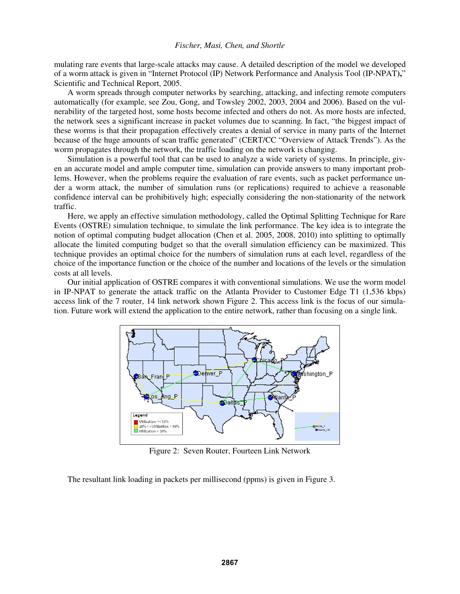mulating rare events that large-scale attacks may cause. A detailed description of the model we developed of a worm attack is given in "Internet Protocol (IP) Network Performance and Analysis Tool (IP-NPAT**),**" Scientific and Technical Report, 2005.

A worm spreads through computer networks by searching, attacking, and infecting remote computers automatically (for example, see Zou, Gong, and Towsley 2002, 2003, 2004 and 2006). Based on the vulnerability of the targeted host, some hosts become infected and others do not. As more hosts are infected, the network sees a significant increase in packet volumes due to scanning. In fact, "the biggest impact of these worms is that their propagation effectively creates a denial of service in many parts of the Internet because of the huge amounts of scan traffic generated" (CERT/CC "Overview of Attack Trends"). As the worm propagates through the network, the traffic loading on the network is changing.

Simulation is a powerful tool that can be used to analyze a wide variety of systems. In principle, given an accurate model and ample computer time, simulation can provide answers to many important problems. However, when the problems require the evaluation of rare events, such as packet performance under a worm attack, the number of simulation runs (or replications) required to achieve a reasonable confidence interval can be prohibitively high; especially considering the non-stationarity of the network traffic.

Here, we apply an effective simulation methodology, called the Optimal Splitting Technique for Rare Events (OSTRE) simulation technique, to simulate the link performance. The key idea is to integrate the notion of optimal computing budget allocation (Chen et al. 2005, 2008, 2010) into splitting to optimally allocate the limited computing budget so that the overall simulation efficiency can be maximized. This technique provides an optimal choice for the numbers of simulation runs at each level, regardless of the choice of the importance function or the choice of the number and locations of the levels or the simulation costs at all levels.

Our initial application of OSTRE compares it with conventional simulations. We use the worm model in IP-NPAT to generate the attack traffic on the Atlanta Provider to Customer Edge T1 (1,536 kbps) access link of the 7 router, 14 link network shown Figure 2. This access link is the focus of our simulation. Future work will extend the application to the entire network, rather than focusing on a single link.



Figure 2: Seven Router, Fourteen Link Network

The resultant link loading in packets per millisecond (ppms) is given in Figure 3.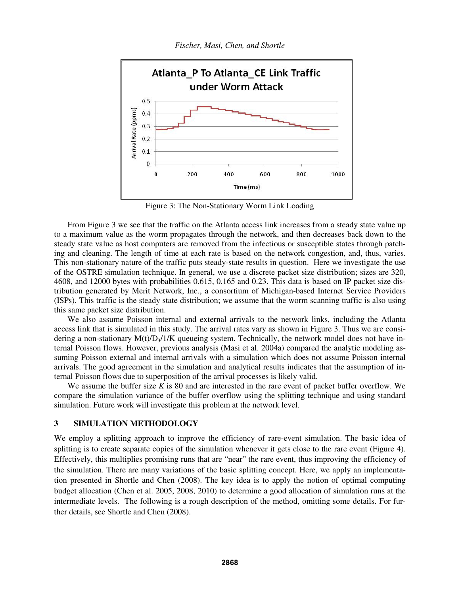

Figure 3: The Non-Stationary Worm Link Loading

From Figure 3 we see that the traffic on the Atlanta access link increases from a steady state value up to a maximum value as the worm propagates through the network, and then decreases back down to the steady state value as host computers are removed from the infectious or susceptible states through patching and cleaning. The length of time at each rate is based on the network congestion, and, thus, varies. This non-stationary nature of the traffic puts steady-state results in question. Here we investigate the use of the OSTRE simulation technique. In general, we use a discrete packet size distribution; sizes are 320, 4608, and 12000 bytes with probabilities 0.615, 0.165 and 0.23. This data is based on IP packet size distribution generated by Merit Network, Inc., a consortium of Michigan-based Internet Service Providers (ISPs). This traffic is the steady state distribution; we assume that the worm scanning traffic is also using this same packet size distribution.

We also assume Poisson internal and external arrivals to the network links, including the Atlanta access link that is simulated in this study. The arrival rates vary as shown in Figure 3. Thus we are considering a non-stationary  $M(t)/D_3/1/K$  queueing system. Technically, the network model does not have internal Poisson flows. However, previous analysis (Masi et al. 2004a) compared the analytic modeling assuming Poisson external and internal arrivals with a simulation which does not assume Poisson internal arrivals. The good agreement in the simulation and analytical results indicates that the assumption of internal Poisson flows due to superposition of the arrival processes is likely valid.

 We assume the buffer size *K* is 80 and are interested in the rare event of packet buffer overflow. We compare the simulation variance of the buffer overflow using the splitting technique and using standard simulation. Future work will investigate this problem at the network level.

### **3 SIMULATION METHODOLOGY**

We employ a splitting approach to improve the efficiency of rare-event simulation. The basic idea of splitting is to create separate copies of the simulation whenever it gets close to the rare event (Figure 4). Effectively, this multiplies promising runs that are "near" the rare event, thus improving the efficiency of the simulation. There are many variations of the basic splitting concept. Here, we apply an implementation presented in Shortle and Chen (2008). The key idea is to apply the notion of optimal computing budget allocation (Chen et al. 2005, 2008, 2010) to determine a good allocation of simulation runs at the intermediate levels. The following is a rough description of the method, omitting some details. For further details, see Shortle and Chen (2008).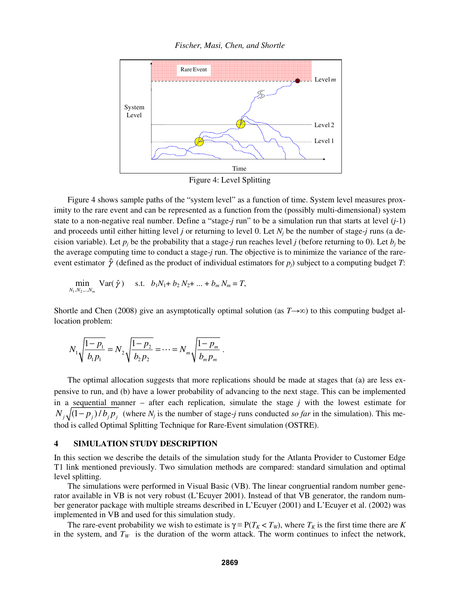

Figure 4: Level Splitting

Figure 4 shows sample paths of the "system level" as a function of time. System level measures proximity to the rare event and can be represented as a function from the (possibly multi-dimensional) system state to a non-negative real number. Define a "stage-*j* run" to be a simulation run that starts at level (*j*-1) and proceeds until either hitting level *j* or returning to level 0. Let  $N_i$  be the number of stage-*j* runs (a decision variable). Let  $p_j$  be the probability that a stage-*j* run reaches level *j* (before returning to 0). Let  $b_j$  be the average computing time to conduct a stage-*j* run. The objective is to minimize the variance of the rareevent estimator  $\hat{\gamma}$  (defined as the product of individual estimators for  $p_i$ ) subject to a computing budget *T*:

$$
\min_{N_1, N_2, ..., N_m} \text{Var}(\hat{\gamma}) \quad \text{s.t.} \quad b_1 N_1 + b_2 N_2 + ... + b_m N_m = T,
$$

Shortle and Chen (2008) give an asymptotically optimal solution (as  $T\rightarrow\infty$ ) to this computing budget allocation problem:

$$
N_1 \sqrt{\frac{1-p_1}{b_1 p_1}} = N_2 \sqrt{\frac{1-p_2}{b_2 p_2}} = \cdots = N_m \sqrt{\frac{1-p_m}{b_m p_m}}.
$$

 The optimal allocation suggests that more replications should be made at stages that (a) are less expensive to run, and (b) have a lower probability of advancing to the next stage. This can be implemented in a sequential manner – after each replication, simulate the stage *j* with the lowest estimate for  $N_i\sqrt{(1-p_i)/b_i p_i}$  (where  $N_j$  is the number of stage-*j* runs conducted *so far* in the simulation). This method is called Optimal Splitting Technique for Rare-Event simulation (OSTRE).

#### **4 SIMULATION STUDY DESCRIPTION**

In this section we describe the details of the simulation study for the Atlanta Provider to Customer Edge T1 link mentioned previously. Two simulation methods are compared: standard simulation and optimal level splitting.

 The simulations were performed in Visual Basic (VB). The linear congruential random number generator available in VB is not very robust (L'Ecuyer 2001). Instead of that VB generator, the random number generator package with multiple streams described in L'Ecuyer (2001) and L'Ecuyer et al. (2002) was implemented in VB and used for this simulation study.

The rare-event probability we wish to estimate is  $\gamma = P(T_K < T_W)$ , where  $T_K$  is the first time there are *K* in the system, and  $T_W$  is the duration of the worm attack. The worm continues to infect the network,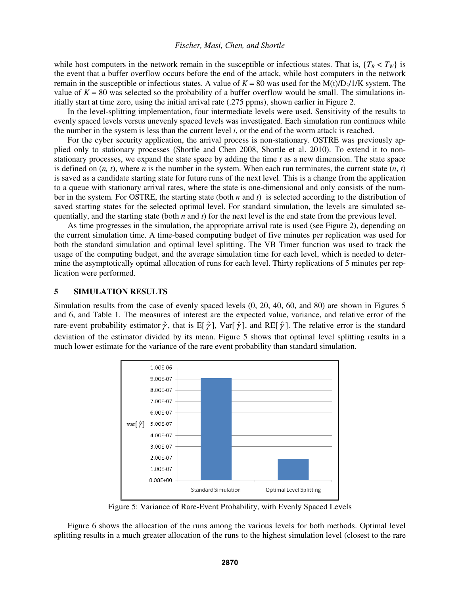while host computers in the network remain in the susceptible or infectious states. That is,  ${T_R < T_W}$  is the event that a buffer overflow occurs before the end of the attack, while host computers in the network remain in the susceptible or infectious states. A value of  $K = 80$  was used for the M(t)/D<sub>3</sub>/1/K system. The value of  $K = 80$  was selected so the probability of a buffer overflow would be small. The simulations initially start at time zero, using the initial arrival rate (.275 ppms), shown earlier in Figure 2.

In the level-splitting implementation, four intermediate levels were used. Sensitivity of the results to evenly spaced levels versus unevenly spaced levels was investigated. Each simulation run continues while the number in the system is less than the current level *i*, or the end of the worm attack is reached.

 For the cyber security application, the arrival process is non-stationary. OSTRE was previously applied only to stationary processes (Shortle and Chen 2008, Shortle et al. 2010). To extend it to nonstationary processes, we expand the state space by adding the time *t* as a new dimension. The state space is defined on  $(n, t)$ , where *n* is the number in the system. When each run terminates, the current state  $(n, t)$ is saved as a candidate starting state for future runs of the next level. This is a change from the application to a queue with stationary arrival rates, where the state is one-dimensional and only consists of the number in the system. For OSTRE, the starting state (both *n* and *t*) is selected according to the distribution of saved starting states for the selected optimal level. For standard simulation, the levels are simulated sequentially, and the starting state (both *n* and *t*) for the next level is the end state from the previous level.

As time progresses in the simulation, the appropriate arrival rate is used (see Figure 2), depending on the current simulation time. A time-based computing budget of five minutes per replication was used for both the standard simulation and optimal level splitting. The VB Timer function was used to track the usage of the computing budget, and the average simulation time for each level, which is needed to determine the asymptotically optimal allocation of runs for each level. Thirty replications of 5 minutes per replication were performed.

## **5 SIMULATION RESULTS**

Simulation results from the case of evenly spaced levels (0, 20, 40, 60, and 80) are shown in Figures 5 and 6, and Table 1. The measures of interest are the expected value, variance, and relative error of the rare-event probability estimator  $\hat{\gamma}$ , that is E[ $\hat{\gamma}$ ], Var[ $\hat{\gamma}$ ], and RE[ $\hat{\gamma}$ ]. The relative error is the standard deviation of the estimator divided by its mean. Figure 5 shows that optimal level splitting results in a much lower estimate for the variance of the rare event probability than standard simulation.



Figure 5: Variance of Rare-Event Probability, with Evenly Spaced Levels

 Figure 6 shows the allocation of the runs among the various levels for both methods. Optimal level splitting results in a much greater allocation of the runs to the highest simulation level (closest to the rare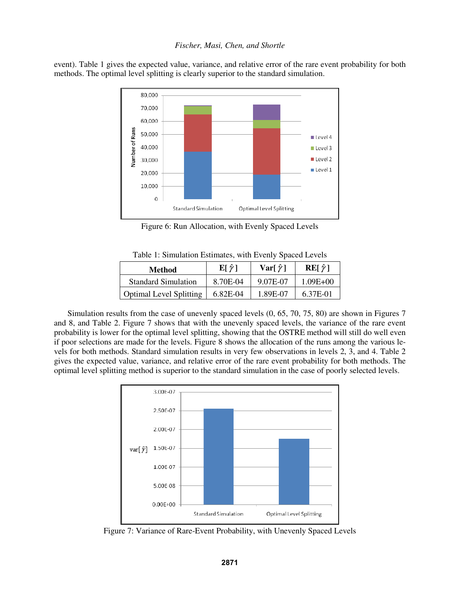event). Table 1 gives the expected value, variance, and relative error of the rare event probability for both methods. The optimal level splitting is clearly superior to the standard simulation.



Figure 6: Run Allocation, with Evenly Spaced Levels

| <b>Method</b>                  | $E[\hat{\gamma}]$ | Var[ $\hat{\gamma}$ ] | $RE[\hat{\gamma}]$ |
|--------------------------------|-------------------|-----------------------|--------------------|
| <b>Standard Simulation</b>     | 8.70E-04          | 9.07E-07              | $1.09E + 00$       |
| <b>Optimal Level Splitting</b> | $6.82E-04$        | 1.89E-07              | 6.37E-01           |

Table 1: Simulation Estimates, with Evenly Spaced Levels

 Simulation results from the case of unevenly spaced levels (0, 65, 70, 75, 80) are shown in Figures 7 and 8, and Table 2. Figure 7 shows that with the unevenly spaced levels, the variance of the rare event probability is lower for the optimal level splitting, showing that the OSTRE method will still do well even if poor selections are made for the levels. Figure 8 shows the allocation of the runs among the various levels for both methods. Standard simulation results in very few observations in levels 2, 3, and 4. Table 2 gives the expected value, variance, and relative error of the rare event probability for both methods. The optimal level splitting method is superior to the standard simulation in the case of poorly selected levels.



Figure 7: Variance of Rare-Event Probability, with Unevenly Spaced Levels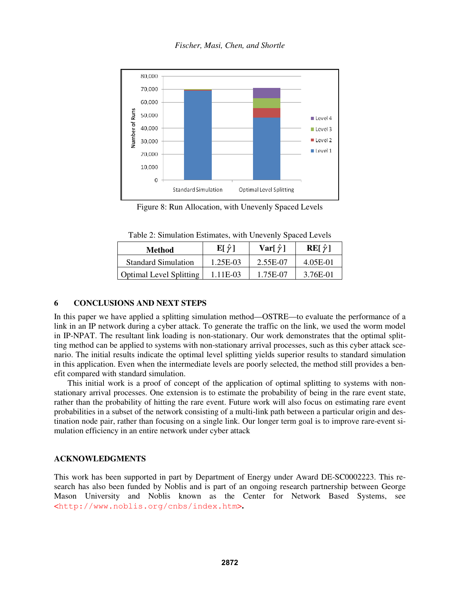

Figure 8: Run Allocation, with Unevenly Spaced Levels

| Table 2: Simulation Estimates, with Unevenly Spaced Levels |  |  |
|------------------------------------------------------------|--|--|
|------------------------------------------------------------|--|--|

| <b>Method</b>                  | $\mathbf{E}[\hat{\gamma}]$ | Var[ $\hat{\gamma}$ ] | $RE[\hat{\gamma}]$ |
|--------------------------------|----------------------------|-----------------------|--------------------|
| <b>Standard Simulation</b>     | 1.25E-03                   | 2.55E-07              | 4.05E-01           |
| <b>Optimal Level Splitting</b> | 1.11E-03                   | 1.75E-07              | 3.76E-01           |

# **6 CONCLUSIONS AND NEXT STEPS**

In this paper we have applied a splitting simulation method—OSTRE—to evaluate the performance of a link in an IP network during a cyber attack. To generate the traffic on the link, we used the worm model in IP-NPAT. The resultant link loading is non-stationary. Our work demonstrates that the optimal splitting method can be applied to systems with non-stationary arrival processes, such as this cyber attack scenario. The initial results indicate the optimal level splitting yields superior results to standard simulation in this application. Even when the intermediate levels are poorly selected, the method still provides a benefit compared with standard simulation.

 This initial work is a proof of concept of the application of optimal splitting to systems with nonstationary arrival processes. One extension is to estimate the probability of being in the rare event state, rather than the probability of hitting the rare event. Future work will also focus on estimating rare event probabilities in a subset of the network consisting of a multi-link path between a particular origin and destination node pair, rather than focusing on a single link. Our longer term goal is to improve rare-event simulation efficiency in an entire network under cyber attack

# **ACKNOWLEDGMENTS**

This work has been supported in part by Department of Energy under Award DE-SC0002223. This research has also been funded by Noblis and is part of an ongoing research partnership between George Mason University and Noblis known as the Center for Network Based Systems, see <http://www.noblis.org/cnbs/index.htm>**.**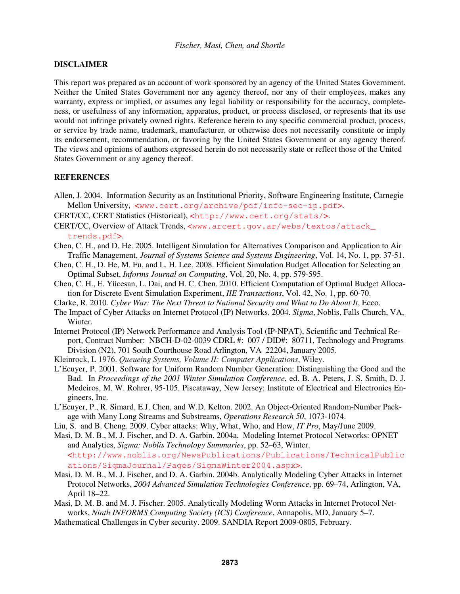# **DISCLAIMER**

This report was prepared as an account of work sponsored by an agency of the United States Government. Neither the United States Government nor any agency thereof, nor any of their employees, makes any warranty, express or implied, or assumes any legal liability or responsibility for the accuracy, completeness, or usefulness of any information, apparatus, product, or process disclosed, or represents that its use would not infringe privately owned rights. Reference herein to any specific commercial product, process, or service by trade name, trademark, manufacturer, or otherwise does not necessarily constitute or imply its endorsement, recommendation, or favoring by the United States Government or any agency thereof. The views and opinions of authors expressed herein do not necessarily state or reflect those of the United States Government or any agency thereof.

# **REFERENCES**

- Allen, J. 2004. Information Security as an Institutional Priority, Software Engineering Institute, Carnegie Mellon University, <www.cert.org/archive/pdf/info-sec-ip.pdf>.
- CERT/CC, CERT Statistics (Historical), <http://www.cert.org/stats/>.
- CERT/CC, Overview of Attack Trends, <www.arcert.gov.ar/webs/textos/attack\_ trends.pdf>.
- Chen, C. H., and D. He. 2005. Intelligent Simulation for Alternatives Comparison and Application to Air Traffic Management, *Journal of Systems Science and Systems Engineering*, Vol. 14, No. 1, pp. 37-51.
- Chen, C. H., D. He, M. Fu, and L. H. Lee. 2008. Efficient Simulation Budget Allocation for Selecting an Optimal Subset, *Informs Journal on Computing*, Vol. 20, No. 4, pp. 579-595.
- Chen, C. H., E. Yücesan, L. Dai, and H. C. Chen. 2010. Efficient Computation of Optimal Budget Allocation for Discrete Event Simulation Experiment, *IIE Transactions*, Vol. 42, No. 1, pp. 60-70.
- Clarke, R. 2010. *Cyber War: The Next Threat to National Security and What to Do About It*, Ecco.
- The Impact of Cyber Attacks on Internet Protocol (IP) Networks. 2004. *Sigma*, Noblis, Falls Church, VA, Winter.
- Internet Protocol (IP) Network Performance and Analysis Tool (IP-NPAT), Scientific and Technical Report, Contract Number: NBCH-D-02-0039 CDRL #: 007 / DID#: 80711, Technology and Programs Division (N2), 701 South Courthouse Road Arlington, VA 22204, January 2005.
- Kleinrock, L 1976. *Queueing Systems, Volume II: Computer Applications*, Wiley.
- L'Ecuyer, P. 2001. Software for Uniform Random Number Generation: Distinguishing the Good and the Bad. In *Proceedings of the 2001 Winter Simulation Conference*, ed. B. A. Peters, J. S. Smith, D. J. Medeiros, M. W. Rohrer, 95-105. Piscataway, New Jersey: Institute of Electrical and Electronics Engineers, Inc.
- L'Ecuyer, P., R. Simard, E.J. Chen, and W.D. Kelton. 2002. An Object-Oriented Random-Number Package with Many Long Streams and Substreams, *Operations Research 50*, 1073-1074.
- Liu, S. and B. Cheng. 2009. Cyber attacks: Why, What, Who, and How, *IT Pro*, May/June 2009.
- Masi, D. M. B., M. J. Fischer, and D. A. Garbin. 2004a. Modeling Internet Protocol Networks: OPNET and Analytics, *Sigma: Noblis Technology Summaries*, pp. 52–63, Winter. <http://www.noblis.org/NewsPublications/Publications/TechnicalPublic
- ations/SigmaJournal/Pages/SigmaWinter2004.aspx>. Masi, D. M. B., M. J. Fischer, and D. A. Garbin. 2004b. Analytically Modeling Cyber Attacks in Internet Protocol Networks, *2004 Advanced Simulation Technologies Conference*, pp. 69–74, Arlington, VA, April 18–22.
- Masi, D. M. B. and M. J. Fischer. 2005. Analytically Modeling Worm Attacks in Internet Protocol Networks, *Ninth INFORMS Computing Society (ICS) Conference*, Annapolis, MD, January 5–7.
- Mathematical Challenges in Cyber security. 2009. SANDIA Report 2009-0805, February.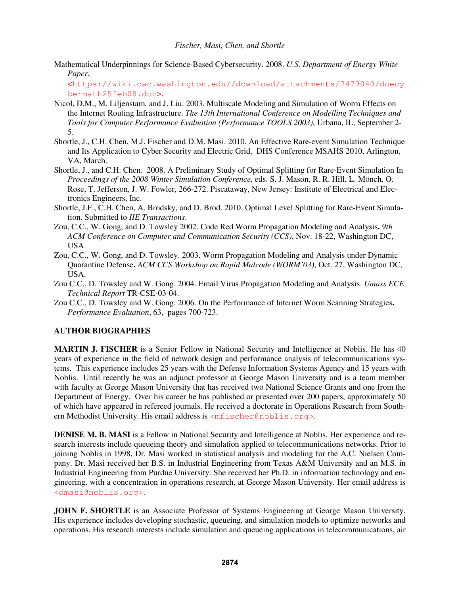Mathematical Underpinnings for Science-Based Cybersecurity. 2008. *U.S. Department of Energy White Paper*,

<https://wiki.cac.washington.edu//download/attachments/7479040/doecy bermath25feb08.doc>.

- Nicol, D.M., M. Liljenstam, and J. Liu. 2003. Multiscale Modeling and Simulation of Worm Effects on the Internet Routing Infrastructure. *The 13th International Conference on Modelling Techniques and Tools for Computer Performance Evaluation (Performance TOOLS 2003)*, Urbana, IL, September 2- 5.
- Shortle, J., C.H. Chen, M.J. Fischer and D.M. Masi. 2010. An Effective Rare-event Simulation Technique and Its Application to Cyber Security and Electric Grid, DHS Conference MSAHS 2010, Arlington, VA, March.
- Shortle, J., and C.H. Chen. 2008. A Preliminary Study of Optimal Splitting for Rare-Event Simulation In *Proceedings of the 2008 Winter Simulation Conference*, eds. S. J. Mason, R. R. Hill, L. Mönch, O. Rose, T. Jefferson, J. W. Fowler, 266-272. Piscataway, New Jersey: Institute of Electrical and Electronics Engineers, Inc.
- Shortle, J.F., C.H. Chen, A. Brodsky, and D. Brod. 2010. Optimal Level Splitting for Rare-Event Simulation. Submitted to *IIE Transactions*.
- Zou, C.C., W. Gong, and D. Towsley 2002. Code Red Worm Propagation Modeling and Analysis**.** *9th ACM Conference on Computer and Communication Security (CCS)*, Nov. 18-22, Washington DC, USA.
- Zou, C.C., W. Gong, and D. Towsley. 2003. Worm Propagation Modeling and Analysis under Dynamic Quarantine Defense**.** *ACM CCS Workshop on Rapid Malcode (WORM'03)*, Oct. 27, Washington DC, **USA**
- Zou C.C., D. Towsley and W. Gong. 2004. Email Virus Propagation Modeling and Analysis. *Umass ECE Technical Report* TR-CSE-03-04.
- Zou C.C., D. Towsley and W. Gong. 2006. On the Performance of Internet Worm Scanning Strategies**.** *Performance Evaluation*, 63, pages 700-723.

# **AUTHOR BIOGRAPHIES**

**MARTIN J. FISCHER** is a Senior Fellow in National Security and Intelligence at Noblis. He has 40 years of experience in the field of network design and performance analysis of telecommunications systems. This experience includes 25 years with the Defense Information Systems Agency and 15 years with Noblis. Until recently he was an adjunct professor at George Mason University and is a team member with faculty at George Mason University that has received two National Science Grants and one from the Department of Energy. Over his career he has published or presented over 200 papers, approximately 50 of which have appeared in refereed journals. He received a doctorate in Operations Research from Southern Methodist University. His email address is <mfischer@noblis.org>.

**DENISE M. B. MASI** is a Fellow in National Security and Intelligence at Noblis. Her experience and research interests include queueing theory and simulation applied to telecommunications networks. Prior to joining Noblis in 1998, Dr. Masi worked in statistical analysis and modeling for the A.C. Nielsen Company. Dr. Masi received her B.S. in Industrial Engineering from Texas A&M University and an M.S. in Industrial Engineering from Purdue University. She received her Ph.D. in information technology and engineering, with a concentration in operations research, at George Mason University. Her email address is <dmasi@noblis.org>.

**JOHN F. SHORTLE** is an Associate Professor of Systems Engineering at George Mason University. His experience includes developing stochastic, queueing, and simulation models to optimize networks and operations. His research interests include simulation and queueing applications in telecommunications, air